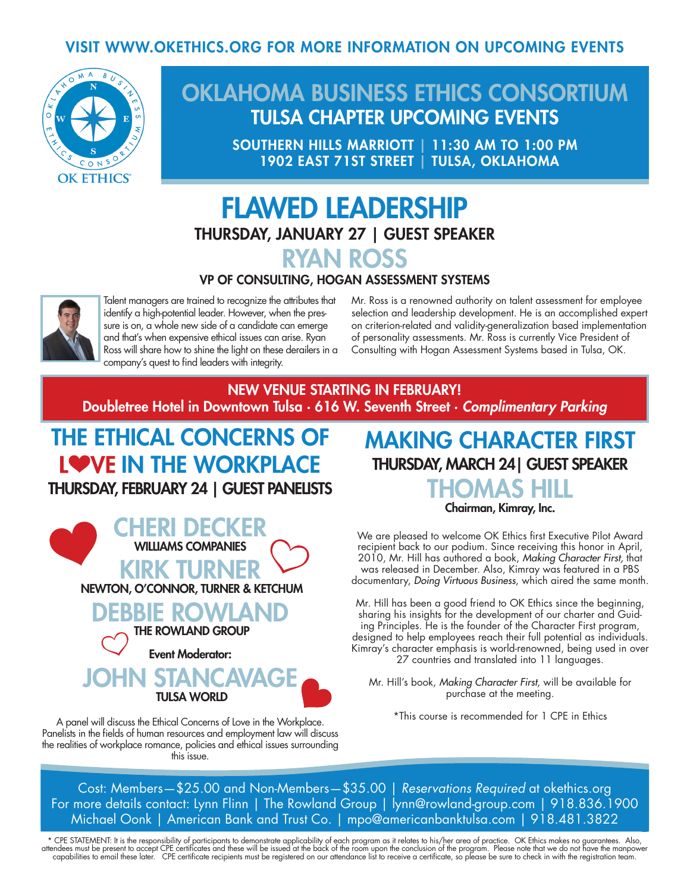#### VISIT WWW.OKETHICS.ORG FOR MORE INFORMATION ON UPCOMING EVENTS



## OKLAHOMA BUSINESS ETHICS CONSORTIUM TULSA CHAPTER UPCOMING EVENTS

SOUTHERN HILLS MARRIOTT | 11:30 AM TO 1:00 PM 1902 EAST 71ST STREET | TULSA, OKLAHOMA

## FLAWED LEADERSHIP THURSDAY, JANUARY 27 | GUEST SPEAKER RYAN ROSS

#### VP OF CONSULTING, HOGAN ASSESSMENT SYSTEMS



Talent managers are trained to recognize the attributes that identify a high-potential leader. However, when the pressure is on, a whole new side of a candidate can emerge and that's when expensive ethical issues can arise. Ryan Ross will share how to shine the light on these derailers in a company's quest to find leaders with integrity.

Mr. Ross is a renowned authority on talent assessment for employee selection and leadership development. He is an accomplished expert on criterion-related and validity-generalization based implementation of personality assessments. Mr. Ross is currently Vice President of Consulting with Hogan Assessment Systems based in Tulsa, OK.

#### NEW VENUE STARTING IN FEBRUARY! Doubletree Hotel in Downtown Tulsa · 616 W. Seventh Street · *Complimentary Parking*

## THE ETHICAL CONCERNS OF LOVE IN THE WORKPLACE THURSDAY, FEBRUARY 24 | GUEST PANELISTS



A panel will discuss the Ethical Concerns of Love in the Workplace. Panelists in the fields of human resources and employment law will discuss the realities of workplace romance, policies and ethical issues surrounding this issue.

## MAKING CHARACTER FIRST THURSDAY, MARCH 24| GUEST SPEAKER THOMAS HILL

Chairman, Kimray, Inc.

We are pleased to welcome OK Ethics first Executive Pilot Award recipient back to our podium. Since receiving this honor in April, 2010, Mr. Hill has authored a book, *Making Character First,* that was released in December. Also, Kimray was featured in a PBS documentary, *Doing Virtuous Business*, which aired the same month.

Mr. Hill has been a good friend to OK Ethics since the beginning, sharing his insights for the development of our charter and Guiding Principles. He is the founder of the Character First program, designed to help employees reach their full potential as individuals. Kimray's character emphasis is world-renowned, being used in over 27 countries and translated into 11 languages.

Mr. Hill's book, *Making Character First*, will be available for purchase at the meeting.

\*This course is recommended for 1 CPE in Ethics

Cost: Members—\$25.00 and Non-Members—\$35.00 | *Reservations Required* at okethics.org For more details contact: Lynn Flinn | The Rowland Group | lynn@rowland-group.com | 918.836.1900 Michael Oonk | American Bank and Trust Co. | mpo@americanbanktulsa.com | 918.481.3822

\* CPE STATEMENT: It is the responsibility of participants to demonstrate applicability of each program as it relates to his/her area of practice. OK Ethics makes no guarantees. Also,<br>attendees must be present to accept CPE